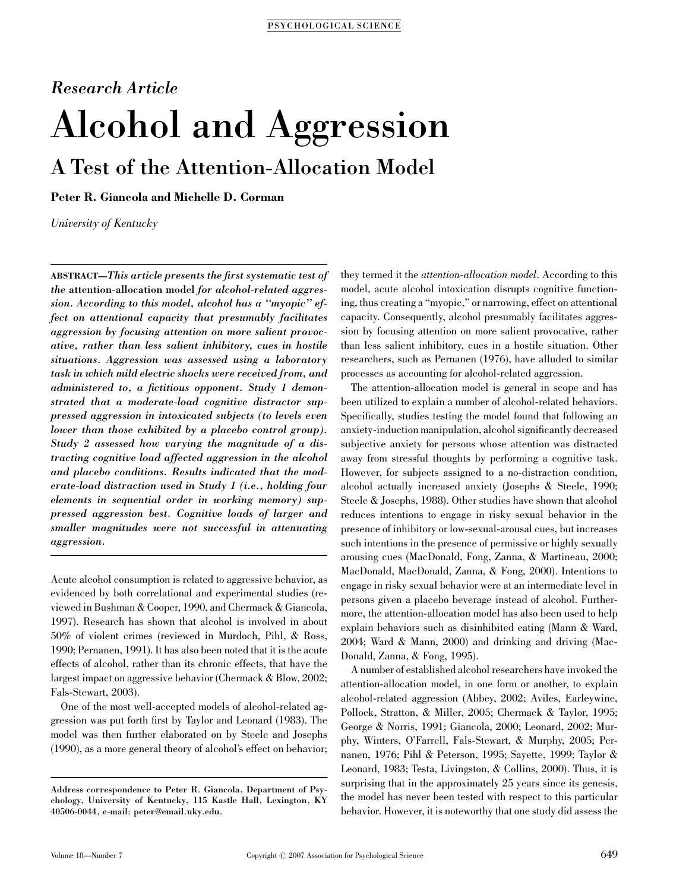# Research Article Alcohol and Aggression A Test of the Attention-Allocation Model

Peter R. Giancola and Michelle D. Corman

University of Kentucky

ABSTRACT—This article presents the first systematic test of the attention-allocation model for alcohol-related aggression. According to this model, alcohol has a ''myopic'' effect on attentional capacity that presumably facilitates aggression by focusing attention on more salient provocative, rather than less salient inhibitory, cues in hostile situations. Aggression was assessed using a laboratory task in which mild electric shocks were received from, and administered to, a fictitious opponent. Study 1 demonstrated that a moderate-load cognitive distractor suppressed aggression in intoxicated subjects (to levels even lower than those exhibited by a placebo control group). Study 2 assessed how varying the magnitude of a distracting cognitive load affected aggression in the alcohol and placebo conditions. Results indicated that the moderate-load distraction used in Study 1 (i.e., holding four elements in sequential order in working memory) suppressed aggression best. Cognitive loads of larger and smaller magnitudes were not successful in attenuating aggression.

Acute alcohol consumption is related to aggressive behavior, as evidenced by both correlational and experimental studies (reviewed in Bushman & Cooper, 1990, and Chermack & Giancola, 1997). Research has shown that alcohol is involved in about 50% of violent crimes (reviewed in Murdoch, Pihl, & Ross, 1990; Pernanen, 1991). It has also been noted that it is the acute effects of alcohol, rather than its chronic effects, that have the largest impact on aggressive behavior (Chermack & Blow, 2002; Fals-Stewart, 2003).

One of the most well-accepted models of alcohol-related aggression was put forth first by Taylor and Leonard (1983). The model was then further elaborated on by Steele and Josephs (1990), as a more general theory of alcohol's effect on behavior; they termed it the attention-allocation model. According to this model, acute alcohol intoxication disrupts cognitive functioning, thus creating a ''myopic,'' or narrowing, effect on attentional capacity. Consequently, alcohol presumably facilitates aggression by focusing attention on more salient provocative, rather than less salient inhibitory, cues in a hostile situation. Other researchers, such as Pernanen (1976), have alluded to similar processes as accounting for alcohol-related aggression.

The attention-allocation model is general in scope and has been utilized to explain a number of alcohol-related behaviors. Specifically, studies testing the model found that following an anxiety-induction manipulation, alcohol significantly decreased subjective anxiety for persons whose attention was distracted away from stressful thoughts by performing a cognitive task. However, for subjects assigned to a no-distraction condition, alcohol actually increased anxiety (Josephs & Steele, 1990; Steele & Josephs, 1988). Other studies have shown that alcohol reduces intentions to engage in risky sexual behavior in the presence of inhibitory or low-sexual-arousal cues, but increases such intentions in the presence of permissive or highly sexually arousing cues (MacDonald, Fong, Zanna, & Martineau, 2000; MacDonald, MacDonald, Zanna, & Fong, 2000). Intentions to engage in risky sexual behavior were at an intermediate level in persons given a placebo beverage instead of alcohol. Furthermore, the attention-allocation model has also been used to help explain behaviors such as disinhibited eating (Mann & Ward, 2004; Ward & Mann, 2000) and drinking and driving (Mac-Donald, Zanna, & Fong, 1995).

A number of established alcohol researchers have invoked the attention-allocation model, in one form or another, to explain alcohol-related aggression (Abbey, 2002; Aviles, Earleywine, Pollock, Stratton, & Miller, 2005; Chermack & Taylor, 1995; George & Norris, 1991; Giancola, 2000; Leonard, 2002; Murphy, Winters, O'Farrell, Fals-Stewart, & Murphy, 2005; Pernanen, 1976; Pihl & Peterson, 1995; Sayette, 1999; Taylor & Leonard, 1983; Testa, Livingston, & Collins, 2000). Thus, it is surprising that in the approximately 25 years since its genesis, the model has never been tested with respect to this particular behavior. However, it is noteworthy that one study did assess the

Address correspondence to Peter R. Giancola, Department of Psychology, University of Kentucky, 115 Kastle Hall, Lexington, KY 40506-0044, e-mail: peter@email.uky.edu.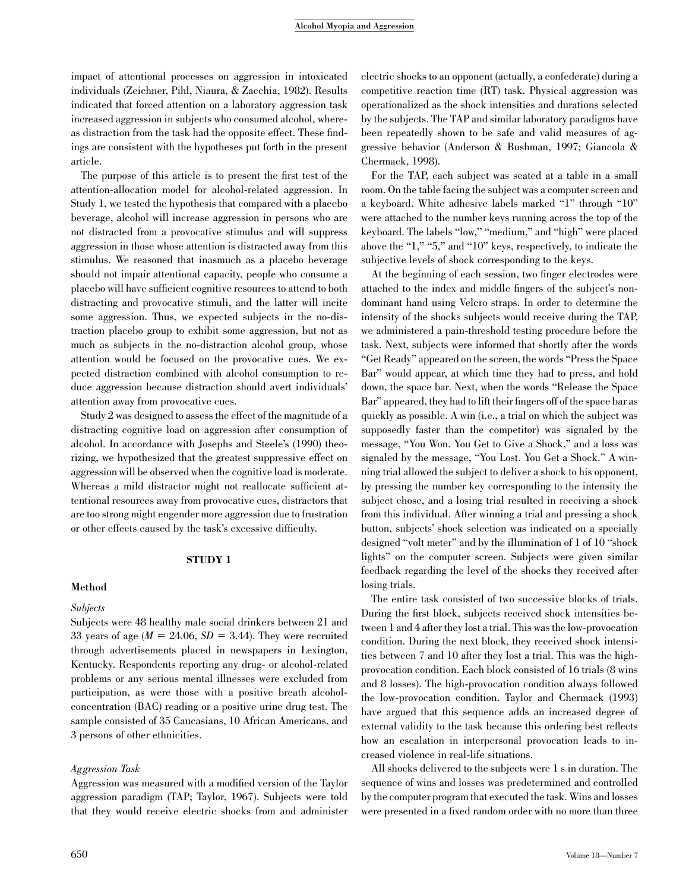impact of attentional processes on aggression in intoxicated individuals (Zeichner, Pihl, Niaura, & Zacchia, 1982). Results indicated that forced attention on a laboratory aggression task increased aggression in subjects who consumed alcohol, whereas distraction from the task had the opposite effect. These findings are consistent with the hypotheses put forth in the present article.

The purpose of this article is to present the first test of the attention-allocation model for alcohol-related aggression. In Study 1, we tested the hypothesis that compared with a placebo beverage, alcohol will increase aggression in persons who are not distracted from a provocative stimulus and will suppress aggression in those whose attention is distracted away from this stimulus. We reasoned that inasmuch as a placebo beverage should not impair attentional capacity, people who consume a placebo will have sufficient cognitive resources to attend to both distracting and provocative stimuli, and the latter will incite some aggression. Thus, we expected subjects in the no-distraction placebo group to exhibit some aggression, but not as much as subjects in the no-distraction alcohol group, whose attention would be focused on the provocative cues. We expected distraction combined with alcohol consumption to reduce aggression because distraction should avert individuals' attention away from provocative cues.

Study 2 was designed to assess the effect of the magnitude of a distracting cognitive load on aggression after consumption of alcohol. In accordance with Josephs and Steele's (1990) theorizing, we hypothesized that the greatest suppressive effect on aggression will be observed when the cognitive load is moderate. Whereas a mild distractor might not reallocate sufficient attentional resources away from provocative cues, distractors that are too strong might engender more aggression due to frustration or other effects caused by the task's excessive difficulty.

## STUDY 1

## Method

#### Subjects

Subjects were 48 healthy male social drinkers between 21 and 33 years of age  $(M = 24.06, SD = 3.44)$ . They were recruited through advertisements placed in newspapers in Lexington, Kentucky. Respondents reporting any drug- or alcohol-related problems or any serious mental illnesses were excluded from participation, as were those with a positive breath alcoholconcentration (BAC) reading or a positive urine drug test. The sample consisted of 35 Caucasians, 10 African Americans, and 3 persons of other ethnicities.

## Aggression Task

Aggression was measured with a modified version of the Taylor aggression paradigm (TAP; Taylor, 1967). Subjects were told that they would receive electric shocks from and administer electric shocks to an opponent (actually, a confederate) during a competitive reaction time (RT) task. Physical aggression was operationalized as the shock intensities and durations selected by the subjects. The TAP and similar laboratory paradigms have been repeatedly shown to be safe and valid measures of aggressive behavior (Anderson & Bushman, 1997; Giancola & Chermack, 1998).

For the TAP, each subject was seated at a table in a small room. On the table facing the subject was a computer screen and a keyboard. White adhesive labels marked "1" through "10" were attached to the number keys running across the top of the keyboard. The labels ''low,'' ''medium,'' and ''high'' were placed above the " $1$ ," " $5$ ," and " $10$ " keys, respectively, to indicate the subjective levels of shock corresponding to the keys.

At the beginning of each session, two finger electrodes were attached to the index and middle fingers of the subject's nondominant hand using Velcro straps. In order to determine the intensity of the shocks subjects would receive during the TAP, we administered a pain-threshold testing procedure before the task. Next, subjects were informed that shortly after the words ''Get Ready'' appeared on the screen, the words ''Press the Space Bar'' would appear, at which time they had to press, and hold down, the space bar. Next, when the words ''Release the Space Bar'' appeared, they had to lift their fingers off of the space bar as quickly as possible. A win (i.e., a trial on which the subject was supposedly faster than the competitor) was signaled by the message, ''You Won. You Get to Give a Shock,'' and a loss was signaled by the message, ''You Lost. You Get a Shock.'' A winning trial allowed the subject to deliver a shock to his opponent, by pressing the number key corresponding to the intensity the subject chose, and a losing trial resulted in receiving a shock from this individual. After winning a trial and pressing a shock button, subjects' shock selection was indicated on a specially designed "volt meter" and by the illumination of 1 of 10 "shock lights'' on the computer screen. Subjects were given similar feedback regarding the level of the shocks they received after losing trials.

The entire task consisted of two successive blocks of trials. During the first block, subjects received shock intensities between 1 and 4 after they lost a trial. This was the low-provocation condition. During the next block, they received shock intensities between 7 and 10 after they lost a trial. This was the highprovocation condition. Each block consisted of 16 trials (8 wins and 8 losses). The high-provocation condition always followed the low-provocation condition. Taylor and Chermack (1993) have argued that this sequence adds an increased degree of external validity to the task because this ordering best reflects how an escalation in interpersonal provocation leads to increased violence in real-life situations.

All shocks delivered to the subjects were 1 s in duration. The sequence of wins and losses was predetermined and controlled by the computer program that executed the task. Wins and losses were presented in a fixed random order with no more than three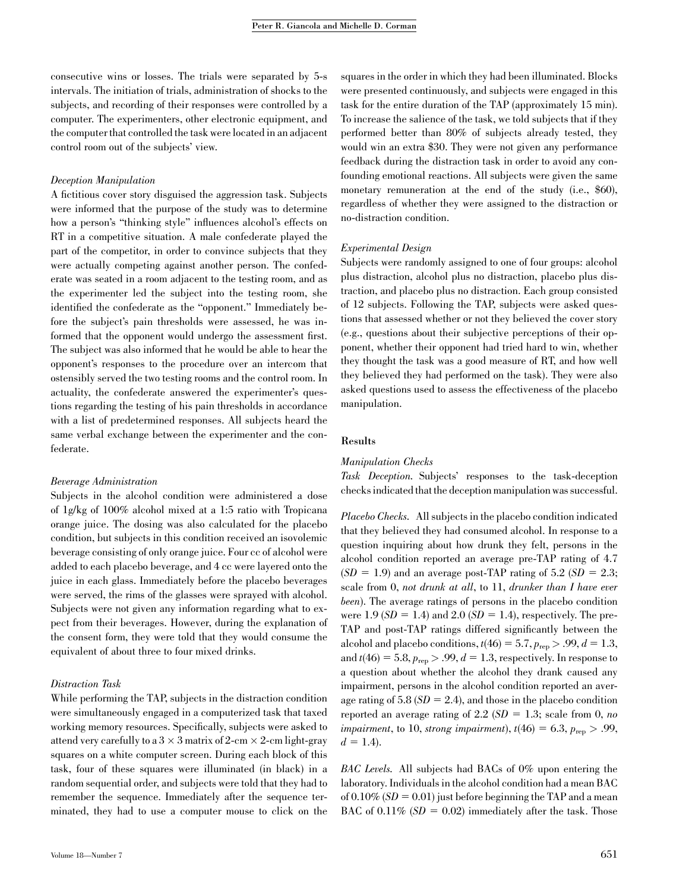consecutive wins or losses. The trials were separated by 5-s intervals. The initiation of trials, administration of shocks to the subjects, and recording of their responses were controlled by a computer. The experimenters, other electronic equipment, and the computer that controlled the task were located in an adjacent control room out of the subjects' view.

#### Deception Manipulation

A fictitious cover story disguised the aggression task. Subjects were informed that the purpose of the study was to determine how a person's ''thinking style'' influences alcohol's effects on RT in a competitive situation. A male confederate played the part of the competitor, in order to convince subjects that they were actually competing against another person. The confederate was seated in a room adjacent to the testing room, and as the experimenter led the subject into the testing room, she identified the confederate as the ''opponent.'' Immediately before the subject's pain thresholds were assessed, he was informed that the opponent would undergo the assessment first. The subject was also informed that he would be able to hear the opponent's responses to the procedure over an intercom that ostensibly served the two testing rooms and the control room. In actuality, the confederate answered the experimenter's questions regarding the testing of his pain thresholds in accordance with a list of predetermined responses. All subjects heard the same verbal exchange between the experimenter and the confederate.

## Beverage Administration

Subjects in the alcohol condition were administered a dose of 1g/kg of 100% alcohol mixed at a 1:5 ratio with Tropicana orange juice. The dosing was also calculated for the placebo condition, but subjects in this condition received an isovolemic beverage consisting of only orange juice. Four cc of alcohol were added to each placebo beverage, and 4 cc were layered onto the juice in each glass. Immediately before the placebo beverages were served, the rims of the glasses were sprayed with alcohol. Subjects were not given any information regarding what to expect from their beverages. However, during the explanation of the consent form, they were told that they would consume the equivalent of about three to four mixed drinks.

#### Distraction Task

While performing the TAP, subjects in the distraction condition were simultaneously engaged in a computerized task that taxed working memory resources. Specifically, subjects were asked to attend very carefully to a  $3 \times 3$  matrix of  $2$ -cm  $\times$  2-cm light-gray squares on a white computer screen. During each block of this task, four of these squares were illuminated (in black) in a random sequential order, and subjects were told that they had to remember the sequence. Immediately after the sequence terminated, they had to use a computer mouse to click on the

squares in the order in which they had been illuminated. Blocks were presented continuously, and subjects were engaged in this task for the entire duration of the TAP (approximately 15 min). To increase the salience of the task, we told subjects that if they performed better than 80% of subjects already tested, they would win an extra \$30. They were not given any performance feedback during the distraction task in order to avoid any confounding emotional reactions. All subjects were given the same monetary remuneration at the end of the study (i.e., \$60), regardless of whether they were assigned to the distraction or no-distraction condition.

### Experimental Design

Subjects were randomly assigned to one of four groups: alcohol plus distraction, alcohol plus no distraction, placebo plus distraction, and placebo plus no distraction. Each group consisted of 12 subjects. Following the TAP, subjects were asked questions that assessed whether or not they believed the cover story (e.g., questions about their subjective perceptions of their opponent, whether their opponent had tried hard to win, whether they thought the task was a good measure of RT, and how well they believed they had performed on the task). They were also asked questions used to assess the effectiveness of the placebo manipulation.

#### Results

# Manipulation Checks

Task Deception. Subjects' responses to the task-deception checks indicated that the deception manipulation was successful.

Placebo Checks. All subjects in the placebo condition indicated that they believed they had consumed alcohol. In response to a question inquiring about how drunk they felt, persons in the alcohol condition reported an average pre-TAP rating of 4.7  $(SD = 1.9)$  and an average post-TAP rating of 5.2  $(SD = 2.3;$ scale from 0, not drunk at all, to 11, drunker than I have ever been). The average ratings of persons in the placebo condition were 1.9 ( $SD = 1.4$ ) and 2.0 ( $SD = 1.4$ ), respectively. The pre-TAP and post-TAP ratings differed significantly between the alcohol and placebo conditions,  $t(46) = 5.7$ ,  $p_{\text{rep}} > .99$ ,  $d = 1.3$ , and  $t(46) = 5.8$ ,  $p_{\text{ren}} > .99$ ,  $d = 1.3$ , respectively. In response to a question about whether the alcohol they drank caused any impairment, persons in the alcohol condition reported an average rating of  $5.8$  ( $SD = 2.4$ ), and those in the placebo condition reported an average rating of 2.2 ( $SD = 1.3$ ; scale from 0, no impairment, to 10, strong impairment),  $t(46) = 6.3$ ,  $p_{\text{rep}} > .99$ ,  $d = 1.4$ .

BAC Levels. All subjects had BACs of 0% upon entering the laboratory. Individuals in the alcohol condition had a mean BAC of  $0.10\%$  (SD = 0.01) just before beginning the TAP and a mean BAC of 0.11% ( $SD = 0.02$ ) immediately after the task. Those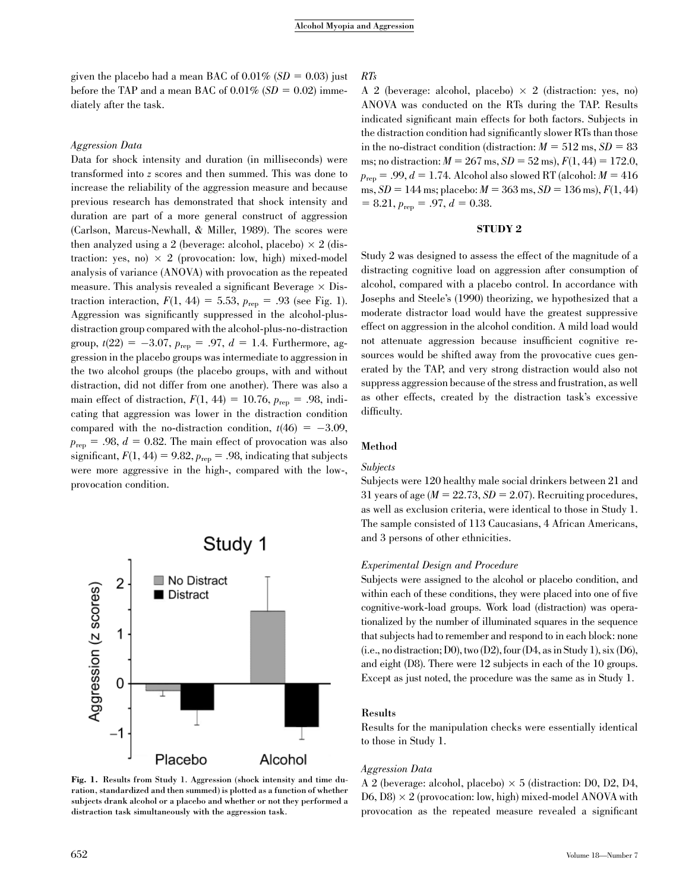given the placebo had a mean BAC of  $0.01\%$  (SD = 0.03) just before the TAP and a mean BAC of  $0.01\%$  (SD = 0.02) immediately after the task.

### Aggression Data

Data for shock intensity and duration (in milliseconds) were transformed into z scores and then summed. This was done to increase the reliability of the aggression measure and because previous research has demonstrated that shock intensity and duration are part of a more general construct of aggression (Carlson, Marcus-Newhall, & Miller, 1989). The scores were then analyzed using a 2 (beverage: alcohol, placebo)  $\times$  2 (distraction: yes, no)  $\times$  2 (provocation: low, high) mixed-model analysis of variance (ANOVA) with provocation as the repeated measure. This analysis revealed a significant Beverage  $\times$  Distraction interaction,  $F(1, 44) = 5.53, p_{\text{ren}} = .93$  (see Fig. 1). Aggression was significantly suppressed in the alcohol-plusdistraction group compared with the alcohol-plus-no-distraction group,  $t(22) = -3.07$ ,  $p_{\text{rep}} = .97$ ,  $d = 1.4$ . Furthermore, aggression in the placebo groups was intermediate to aggression in the two alcohol groups (the placebo groups, with and without distraction, did not differ from one another). There was also a main effect of distraction,  $F(1, 44) = 10.76$ ,  $p_{\text{rep}} = .98$ , indicating that aggression was lower in the distraction condition compared with the no-distraction condition,  $t(46) = -3.09$ ,  $p_{\text{rep}} = .98, d = 0.82$ . The main effect of provocation was also significant,  $F(1, 44) = 9.82$ ,  $p_{\text{rep}} = .98$ , indicating that subjects were more aggressive in the high-, compared with the low-, provocation condition.



Fig. 1. Results from Study 1. Aggression (shock intensity and time duration, standardized and then summed) is plotted as a function of whether subjects drank alcohol or a placebo and whether or not they performed a distraction task simultaneously with the aggression task.

RTs

A 2 (beverage: alcohol, placebo)  $\times$  2 (distraction: yes, no) ANOVA was conducted on the RTs during the TAP. Results indicated significant main effects for both factors. Subjects in the distraction condition had significantly slower RTs than those in the no-distract condition (distraction:  $M = 512$  ms,  $SD = 83$ ms; no distraction:  $M = 267$  ms,  $SD = 52$  ms),  $F(1, 44) = 172.0$ ,  $p_{\text{rep}} = .99, d = 1.74$ . Alcohol also slowed RT (alcohol:  $M = 416$ ms,  $SD = 144$  ms; placebo:  $M = 363$  ms,  $SD = 136$  ms),  $F(1, 44)$  $= 8.21, p_{\text{rep}} = .97, d = 0.38.$ 

# STUDY 2

Study 2 was designed to assess the effect of the magnitude of a distracting cognitive load on aggression after consumption of alcohol, compared with a placebo control. In accordance with Josephs and Steele's (1990) theorizing, we hypothesized that a moderate distractor load would have the greatest suppressive effect on aggression in the alcohol condition. A mild load would not attenuate aggression because insufficient cognitive resources would be shifted away from the provocative cues generated by the TAP, and very strong distraction would also not suppress aggression because of the stress and frustration, as well as other effects, created by the distraction task's excessive difficulty.

# Method

#### Subjects

Subjects were 120 healthy male social drinkers between 21 and 31 years of age  $(M = 22.73, SD = 2.07)$ . Recruiting procedures, as well as exclusion criteria, were identical to those in Study 1. The sample consisted of 113 Caucasians, 4 African Americans, and 3 persons of other ethnicities.

# Experimental Design and Procedure

Subjects were assigned to the alcohol or placebo condition, and within each of these conditions, they were placed into one of five cognitive-work-load groups. Work load (distraction) was operationalized by the number of illuminated squares in the sequence that subjects had to remember and respond to in each block: none  $(i.e., no distortion; D0), two (D2), four (D4, as in Study 1), six (D6),$ and eight (D8). There were 12 subjects in each of the 10 groups. Except as just noted, the procedure was the same as in Study 1.

## Results

Results for the manipulation checks were essentially identical to those in Study 1.

#### Aggression Data

A 2 (beverage: alcohol, placebo)  $\times$  5 (distraction: D0, D2, D4,  $D6, D8 \times 2$  (provocation: low, high) mixed-model ANOVA with provocation as the repeated measure revealed a significant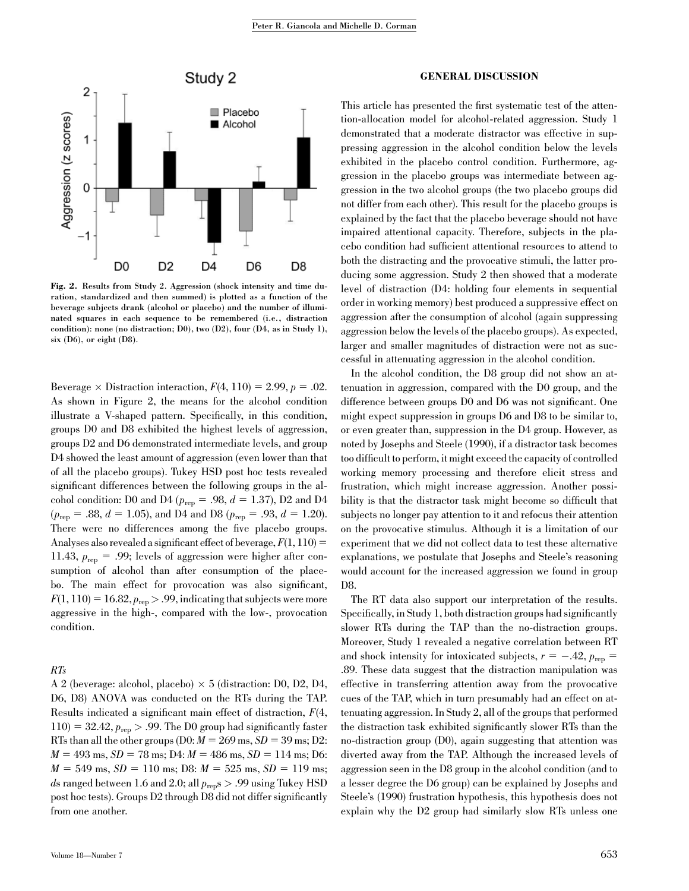

Fig. 2. Results from Study 2. Aggression (shock intensity and time duration, standardized and then summed) is plotted as a function of the beverage subjects drank (alcohol or placebo) and the number of illuminated squares in each sequence to be remembered (i.e., distraction condition): none (no distraction; D0), two (D2), four (D4, as in Study 1), six (D6), or eight (D8).

Beverage  $\times$  Distraction interaction,  $F(4, 110) = 2.99$ ,  $p = .02$ . As shown in Figure 2, the means for the alcohol condition illustrate a V-shaped pattern. Specifically, in this condition, groups D0 and D8 exhibited the highest levels of aggression, groups D2 and D6 demonstrated intermediate levels, and group D4 showed the least amount of aggression (even lower than that of all the placebo groups). Tukey HSD post hoc tests revealed significant differences between the following groups in the alcohol condition: D0 and D4 ( $p_{\text{rep}} = .98$ ,  $d = 1.37$ ), D2 and D4  $(p_{\text{rep}} = .88, d = 1.05)$ , and D4 and D8  $(p_{\text{rep}} = .93, d = 1.20)$ . There were no differences among the five placebo groups. Analyses also revealed a significant effect of beverage,  $F(1, 110) =$ 11.43,  $p_{\text{rep}} = .99$ ; levels of aggression were higher after consumption of alcohol than after consumption of the placebo. The main effect for provocation was also significant,  $F(1, 110) = 16.82, p_{\text{rep}} > .99$ , indicating that subjects were more aggressive in the high-, compared with the low-, provocation condition.

# RTs

A 2 (beverage: alcohol, placebo)  $\times$  5 (distraction: D0, D2, D4, D6, D8) ANOVA was conducted on the RTs during the TAP. Results indicated a significant main effect of distraction,  $F(4, 4)$  $110$ ) = 32.42,  $p_{\text{rep}} > .99$ . The D0 group had significantly faster RTs than all the other groups (D0:  $M = 269$  ms,  $SD = 39$  ms; D2:  $M = 493$  ms,  $SD = 78$  ms; D4:  $M = 486$  ms,  $SD = 114$  ms; D6:  $M = 549$  ms,  $SD = 110$  ms; D8:  $M = 525$  ms,  $SD = 119$  ms; ds ranged between 1.6 and 2.0; all  $p_{\text{rep}}$ s > .99 using Tukey HSD post hoc tests). Groups D2 through D8 did not differ significantly from one another.

#### GENERAL DISCUSSION

This article has presented the first systematic test of the attention-allocation model for alcohol-related aggression. Study 1 demonstrated that a moderate distractor was effective in suppressing aggression in the alcohol condition below the levels exhibited in the placebo control condition. Furthermore, aggression in the placebo groups was intermediate between aggression in the two alcohol groups (the two placebo groups did not differ from each other). This result for the placebo groups is explained by the fact that the placebo beverage should not have impaired attentional capacity. Therefore, subjects in the placebo condition had sufficient attentional resources to attend to both the distracting and the provocative stimuli, the latter producing some aggression. Study 2 then showed that a moderate level of distraction (D4: holding four elements in sequential order in working memory) best produced a suppressive effect on aggression after the consumption of alcohol (again suppressing aggression below the levels of the placebo groups). As expected, larger and smaller magnitudes of distraction were not as successful in attenuating aggression in the alcohol condition.

In the alcohol condition, the D8 group did not show an attenuation in aggression, compared with the D0 group, and the difference between groups D0 and D6 was not significant. One might expect suppression in groups D6 and D8 to be similar to, or even greater than, suppression in the D4 group. However, as noted by Josephs and Steele (1990), if a distractor task becomes too difficult to perform, it might exceed the capacity of controlled working memory processing and therefore elicit stress and frustration, which might increase aggression. Another possibility is that the distractor task might become so difficult that subjects no longer pay attention to it and refocus their attention on the provocative stimulus. Although it is a limitation of our experiment that we did not collect data to test these alternative explanations, we postulate that Josephs and Steele's reasoning would account for the increased aggression we found in group D8.

The RT data also support our interpretation of the results. Specifically, in Study 1, both distraction groups had significantly slower RTs during the TAP than the no-distraction groups. Moreover, Study 1 revealed a negative correlation between RT and shock intensity for intoxicated subjects,  $r = -.42$ ,  $p_{\text{rep}} =$ .89. These data suggest that the distraction manipulation was effective in transferring attention away from the provocative cues of the TAP, which in turn presumably had an effect on attenuating aggression. In Study 2, all of the groups that performed the distraction task exhibited significantly slower RTs than the no-distraction group (D0), again suggesting that attention was diverted away from the TAP. Although the increased levels of aggression seen in the D8 group in the alcohol condition (and to a lesser degree the D6 group) can be explained by Josephs and Steele's (1990) frustration hypothesis, this hypothesis does not explain why the D2 group had similarly slow RTs unless one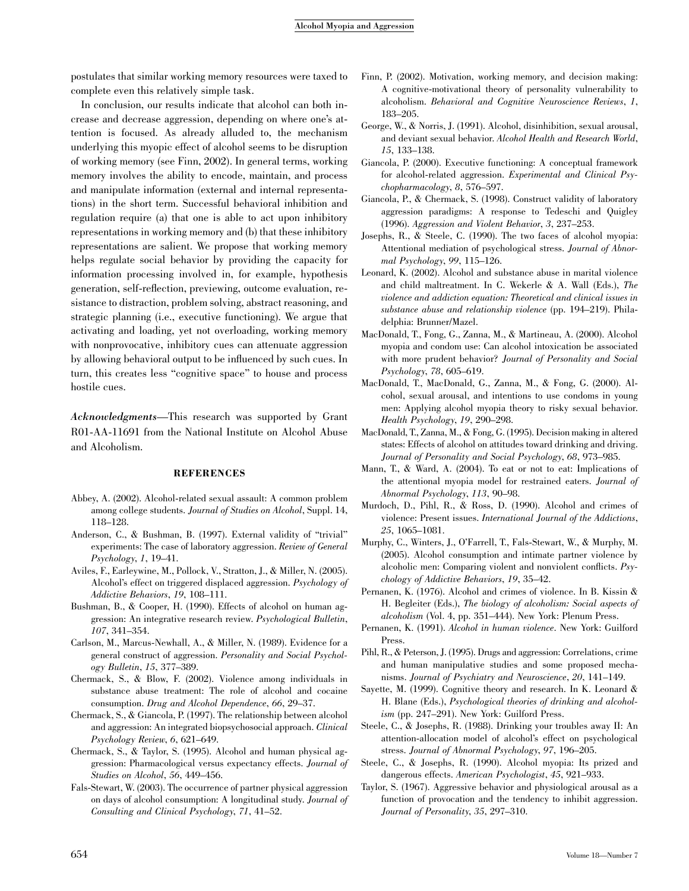postulates that similar working memory resources were taxed to complete even this relatively simple task.

In conclusion, our results indicate that alcohol can both increase and decrease aggression, depending on where one's attention is focused. As already alluded to, the mechanism underlying this myopic effect of alcohol seems to be disruption of working memory (see Finn, 2002). In general terms, working memory involves the ability to encode, maintain, and process and manipulate information (external and internal representations) in the short term. Successful behavioral inhibition and regulation require (a) that one is able to act upon inhibitory representations in working memory and (b) that these inhibitory representations are salient. We propose that working memory helps regulate social behavior by providing the capacity for information processing involved in, for example, hypothesis generation, self-reflection, previewing, outcome evaluation, resistance to distraction, problem solving, abstract reasoning, and strategic planning (i.e., executive functioning). We argue that activating and loading, yet not overloading, working memory with nonprovocative, inhibitory cues can attenuate aggression by allowing behavioral output to be influenced by such cues. In turn, this creates less ''cognitive space'' to house and process hostile cues.

Acknowledgments—This research was supported by Grant R01-AA-11691 from the National Institute on Alcohol Abuse and Alcoholism.

# **REFERENCES**

- Abbey, A. (2002). Alcohol-related sexual assault: A common problem among college students. Journal of Studies on Alcohol, Suppl. 14, 118–128.
- Anderson, C., & Bushman, B. (1997). External validity of ''trivial'' experiments: The case of laboratory aggression. Review of General Psychology, 1, 19–41.
- Aviles, F., Earleywine, M., Pollock, V., Stratton, J., & Miller, N. (2005). Alcohol's effect on triggered displaced aggression. Psychology of Addictive Behaviors, 19, 108–111.
- Bushman, B., & Cooper, H. (1990). Effects of alcohol on human aggression: An integrative research review. Psychological Bulletin, 107, 341–354.
- Carlson, M., Marcus-Newhall, A., & Miller, N. (1989). Evidence for a general construct of aggression. Personality and Social Psychology Bulletin, 15, 377–389.
- Chermack, S., & Blow, F. (2002). Violence among individuals in substance abuse treatment: The role of alcohol and cocaine consumption. Drug and Alcohol Dependence, 66, 29–37.
- Chermack, S., & Giancola, P. (1997). The relationship between alcohol and aggression: An integrated biopsychosocial approach. Clinical Psychology Review, 6, 621–649.
- Chermack, S., & Taylor, S. (1995). Alcohol and human physical aggression: Pharmacological versus expectancy effects. Journal of Studies on Alcohol, 56, 449–456.
- Fals-Stewart, W. (2003). The occurrence of partner physical aggression on days of alcohol consumption: A longitudinal study. Journal of Consulting and Clinical Psychology, 71, 41–52.
- Finn, P. (2002). Motivation, working memory, and decision making: A cognitive-motivational theory of personality vulnerability to alcoholism. Behavioral and Cognitive Neuroscience Reviews, 1, 183–205.
- George, W., & Norris, J. (1991). Alcohol, disinhibition, sexual arousal, and deviant sexual behavior. Alcohol Health and Research World, 15, 133–138.
- Giancola, P. (2000). Executive functioning: A conceptual framework for alcohol-related aggression. Experimental and Clinical Psychopharmacology, 8, 576–597.
- Giancola, P., & Chermack, S. (1998). Construct validity of laboratory aggression paradigms: A response to Tedeschi and Quigley (1996). Aggression and Violent Behavior, 3, 237–253.
- Josephs, R., & Steele, C. (1990). The two faces of alcohol myopia: Attentional mediation of psychological stress. Journal of Abnormal Psychology, 99, 115–126.
- Leonard, K. (2002). Alcohol and substance abuse in marital violence and child maltreatment. In C. Wekerle & A. Wall (Eds.), The violence and addiction equation: Theoretical and clinical issues in substance abuse and relationship violence (pp. 194–219). Philadelphia: Brunner/Mazel.
- MacDonald, T., Fong, G., Zanna, M., & Martineau, A. (2000). Alcohol myopia and condom use: Can alcohol intoxication be associated with more prudent behavior? Journal of Personality and Social Psychology, 78, 605–619.
- MacDonald, T., MacDonald, G., Zanna, M., & Fong, G. (2000). Alcohol, sexual arousal, and intentions to use condoms in young men: Applying alcohol myopia theory to risky sexual behavior. Health Psychology, 19, 290–298.
- MacDonald, T., Zanna, M., & Fong, G. (1995). Decision making in altered states: Effects of alcohol on attitudes toward drinking and driving. Journal of Personality and Social Psychology, 68, 973–985.
- Mann, T., & Ward, A. (2004). To eat or not to eat: Implications of the attentional myopia model for restrained eaters. Journal of Abnormal Psychology, 113, 90–98.
- Murdoch, D., Pihl, R., & Ross, D. (1990). Alcohol and crimes of violence: Present issues. International Journal of the Addictions, 25, 1065–1081.
- Murphy, C., Winters, J., O'Farrell, T., Fals-Stewart, W., & Murphy, M. (2005). Alcohol consumption and intimate partner violence by alcoholic men: Comparing violent and nonviolent conflicts. Psychology of Addictive Behaviors, 19, 35–42.
- Pernanen, K. (1976). Alcohol and crimes of violence. In B. Kissin & H. Begleiter (Eds.), The biology of alcoholism: Social aspects of alcoholism (Vol. 4, pp. 351–444). New York: Plenum Press.
- Pernanen, K. (1991). Alcohol in human violence. New York: Guilford Press.
- Pihl, R., & Peterson, J. (1995). Drugs and aggression: Correlations, crime and human manipulative studies and some proposed mechanisms. Journal of Psychiatry and Neuroscience, 20, 141–149.
- Sayette, M. (1999). Cognitive theory and research. In K. Leonard & H. Blane (Eds.), Psychological theories of drinking and alcoholism (pp. 247–291). New York: Guilford Press.
- Steele, C., & Josephs, R. (1988). Drinking your troubles away II: An attention-allocation model of alcohol's effect on psychological stress. Journal of Abnormal Psychology, 97, 196–205.
- Steele, C., & Josephs, R. (1990). Alcohol myopia: Its prized and dangerous effects. American Psychologist, 45, 921–933.
- Taylor, S. (1967). Aggressive behavior and physiological arousal as a function of provocation and the tendency to inhibit aggression. Journal of Personality, 35, 297–310.